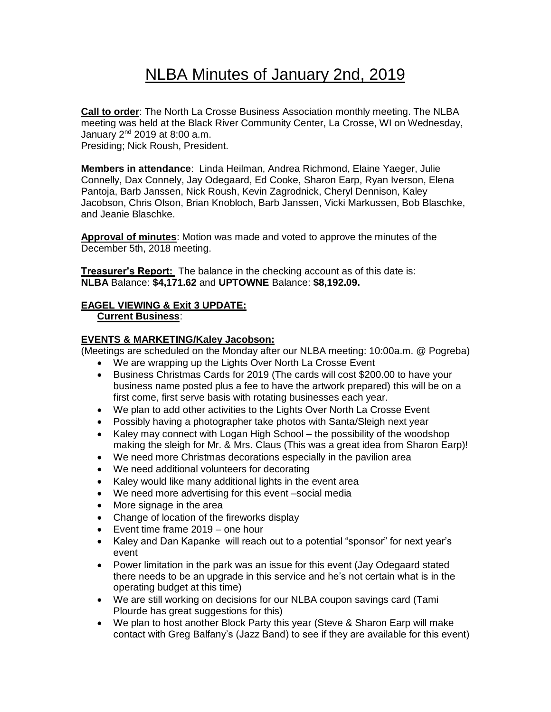# NLBA Minutes of January 2nd, 2019

**Call to order**: The North La Crosse Business Association monthly meeting. The NLBA meeting was held at the Black River Community Center, La Crosse, WI on Wednesday, January  $2^{nd}$  2019 at 8:00 a.m. Presiding; Nick Roush, President.

**Members in attendance**: Linda Heilman, Andrea Richmond, Elaine Yaeger, Julie Connelly, Dax Connely, Jay Odegaard, Ed Cooke, Sharon Earp, Ryan Iverson, Elena Pantoja, Barb Janssen, Nick Roush, Kevin Zagrodnick, Cheryl Dennison, Kaley Jacobson, Chris Olson, Brian Knobloch, Barb Janssen, Vicki Markussen, Bob Blaschke, and Jeanie Blaschke.

**Approval of minutes**: Motion was made and voted to approve the minutes of the December 5th, 2018 meeting.

**Treasurer's Report:** The balance in the checking account as of this date is: **NLBA** Balance: **\$4,171.62** and **UPTOWNE** Balance: **\$8,192.09.**

# **EAGEL VIEWING & Exit 3 UPDATE: Current Business**:

## **EVENTS & MARKETING/Kaley Jacobson:**

(Meetings are scheduled on the Monday after our NLBA meeting: 10:00a.m. @ Pogreba)

- We are wrapping up the Lights Over North La Crosse Event
- Business Christmas Cards for 2019 (The cards will cost \$200.00 to have your business name posted plus a fee to have the artwork prepared) this will be on a first come, first serve basis with rotating businesses each year.
- We plan to add other activities to the Lights Over North La Crosse Event
- Possibly having a photographer take photos with Santa/Sleigh next year
- Kaley may connect with Logan High School the possibility of the woodshop making the sleigh for Mr. & Mrs. Claus (This was a great idea from Sharon Earp)!
- We need more Christmas decorations especially in the pavilion area
- We need additional volunteers for decorating
- Kaley would like many additional lights in the event area
- We need more advertising for this event –social media
- More signage in the area
- Change of location of the fireworks display
- Event time frame 2019 one hour
- Kaley and Dan Kapanke will reach out to a potential "sponsor" for next year's event
- Power limitation in the park was an issue for this event (Jay Odegaard stated there needs to be an upgrade in this service and he's not certain what is in the operating budget at this time)
- We are still working on decisions for our NLBA coupon savings card (Tami Plourde has great suggestions for this)
- We plan to host another Block Party this year (Steve & Sharon Earp will make contact with Greg Balfany's (Jazz Band) to see if they are available for this event)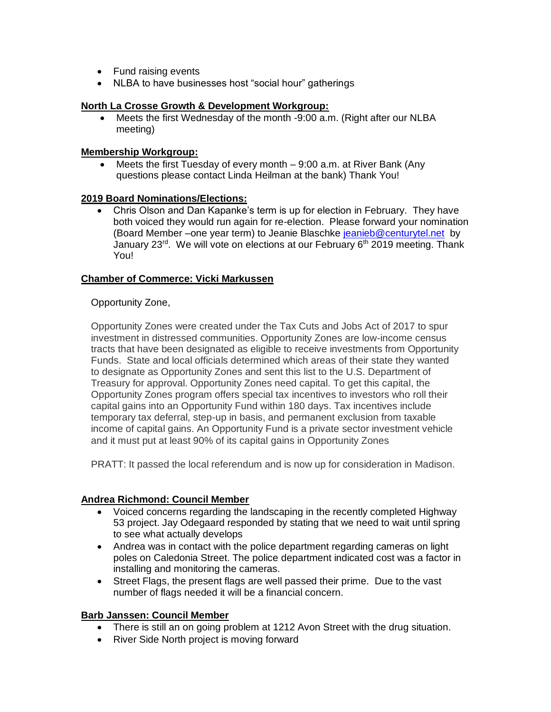- Fund raising events
- NLBA to have businesses host "social hour" gatherings

### **North La Crosse Growth & Development Workgroup:**

• Meets the first Wednesday of the month -9:00 a.m. (Right after our NLBA meeting)

#### **Membership Workgroup:**

Meets the first Tuesday of every month  $-9:00$  a.m. at River Bank (Any questions please contact Linda Heilman at the bank) Thank You!

#### **2019 Board Nominations/Elections:**

• Chris Olson and Dan Kapanke's term is up for election in February. They have both voiced they would run again for re-election. Please forward your nomination (Board Member –one year term) to Jeanie Blaschke [jeanieb@centurytel.net](mailto:jeanieb@centurytel.net) by January 23<sup>rd</sup>. We will vote on elections at our February  $6<sup>th</sup>$  2019 meeting. Thank You!

## **Chamber of Commerce: Vicki Markussen**

#### Opportunity Zone,

Opportunity Zones were created under the Tax Cuts and Jobs Act of 2017 to spur investment in distressed communities. Opportunity Zones are low-income census tracts that have been designated as eligible to receive investments from Opportunity Funds. State and local officials determined which areas of their state they wanted to designate as Opportunity Zones and sent this list to the U.S. Department of Treasury for approval. Opportunity Zones need capital. To get this capital, the Opportunity Zones program offers special tax incentives to investors who roll their capital gains into an Opportunity Fund within 180 days. Tax incentives include temporary tax deferral, step-up in basis, and permanent exclusion from taxable income of capital gains. An Opportunity Fund is a private sector investment vehicle and it must put at least 90% of its capital gains in Opportunity Zones

PRATT: It passed the local referendum and is now up for consideration in Madison.

## **Andrea Richmond: Council Member**

- Voiced concerns regarding the landscaping in the recently completed Highway 53 project. Jay Odegaard responded by stating that we need to wait until spring to see what actually develops
- Andrea was in contact with the police department regarding cameras on light poles on Caledonia Street. The police department indicated cost was a factor in installing and monitoring the cameras.
- Street Flags, the present flags are well passed their prime. Due to the vast number of flags needed it will be a financial concern.

#### **Barb Janssen: Council Member**

- There is still an on going problem at 1212 Avon Street with the drug situation.
- River Side North project is moving forward